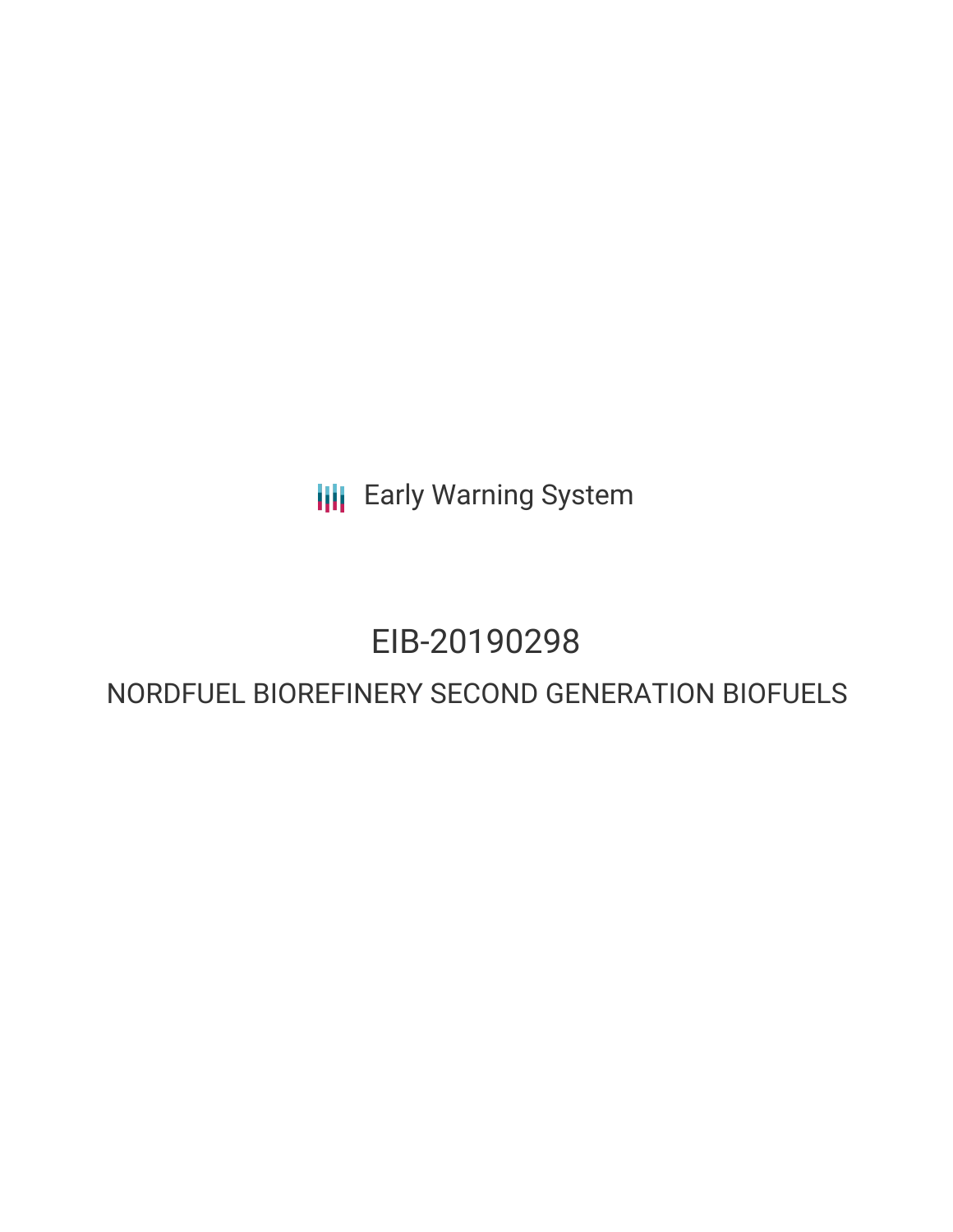**III** Early Warning System

## EIB-20190298

## NORDFUEL BIOREFINERY SECOND GENERATION BIOFUELS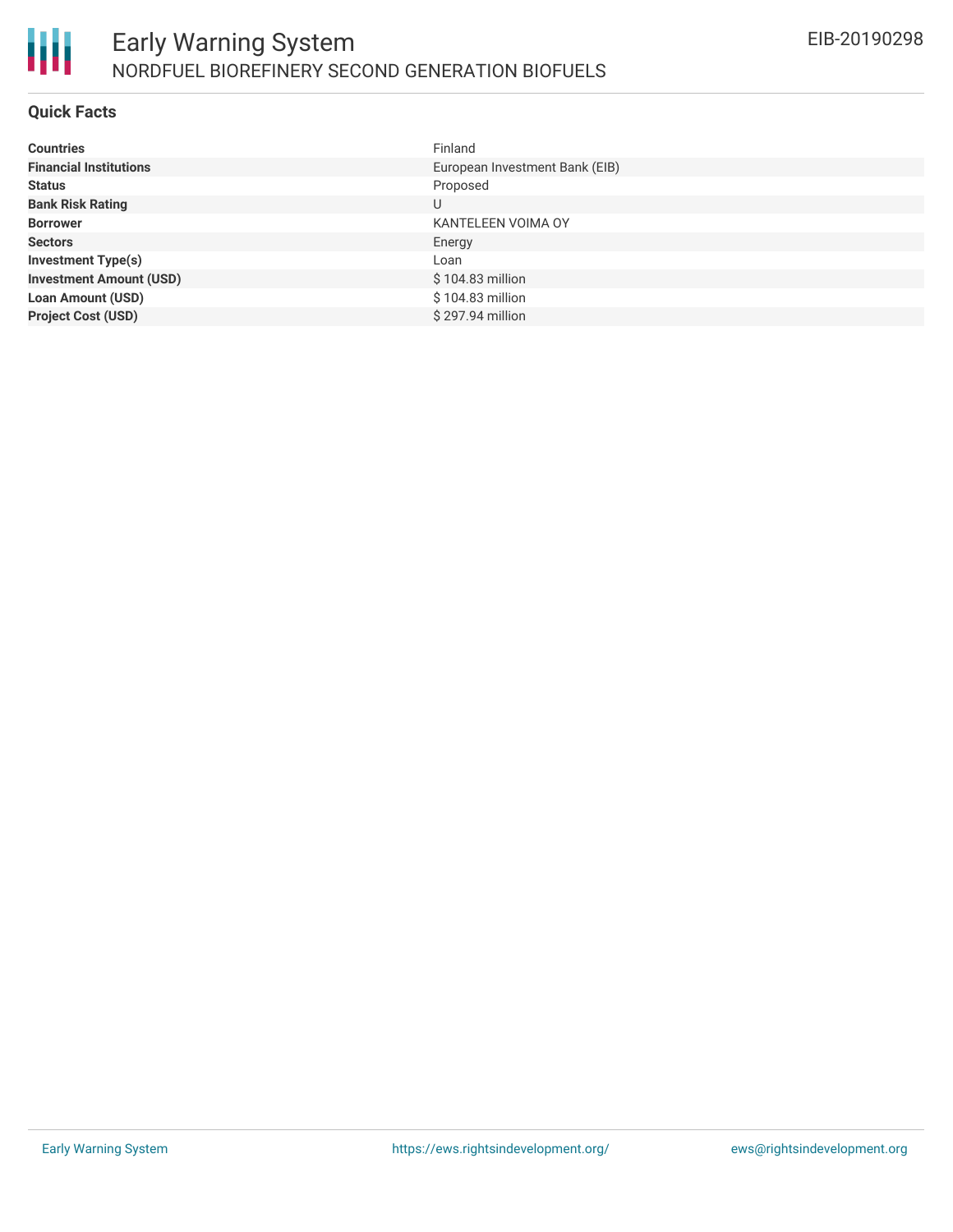

#### **Quick Facts**

| <b>Countries</b>               | Finland                        |
|--------------------------------|--------------------------------|
| <b>Financial Institutions</b>  | European Investment Bank (EIB) |
| <b>Status</b>                  | Proposed                       |
| <b>Bank Risk Rating</b>        | U                              |
| <b>Borrower</b>                | KANTELEEN VOIMA OY             |
| <b>Sectors</b>                 | Energy                         |
| <b>Investment Type(s)</b>      | Loan                           |
| <b>Investment Amount (USD)</b> | $$104.83$ million              |
| <b>Loan Amount (USD)</b>       | \$104.83 million               |
| <b>Project Cost (USD)</b>      | \$297.94 million               |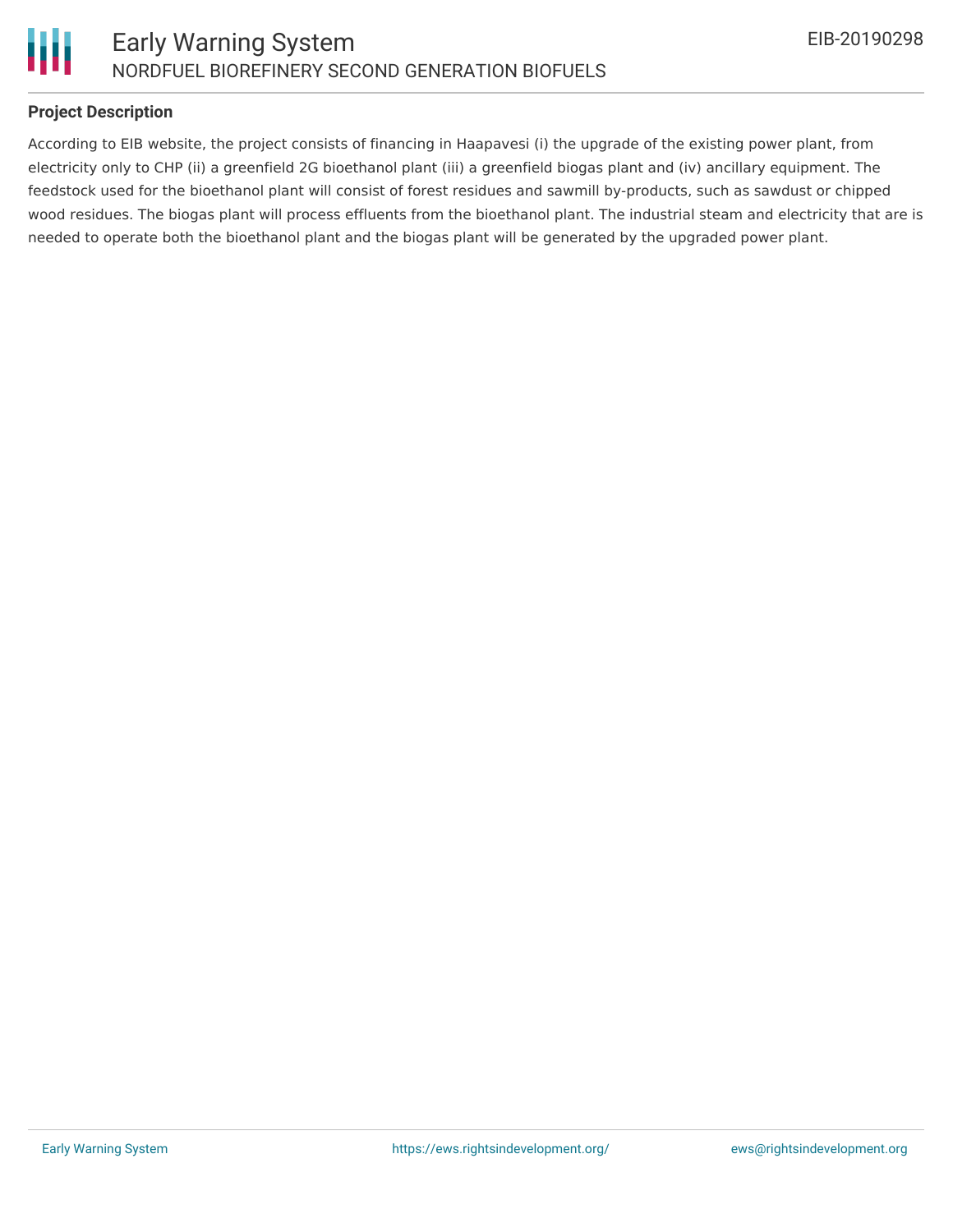

#### **Project Description**

According to EIB website, the project consists of financing in Haapavesi (i) the upgrade of the existing power plant, from electricity only to CHP (ii) a greenfield 2G bioethanol plant (iii) a greenfield biogas plant and (iv) ancillary equipment. The feedstock used for the bioethanol plant will consist of forest residues and sawmill by-products, such as sawdust or chipped wood residues. The biogas plant will process effluents from the bioethanol plant. The industrial steam and electricity that are is needed to operate both the bioethanol plant and the biogas plant will be generated by the upgraded power plant.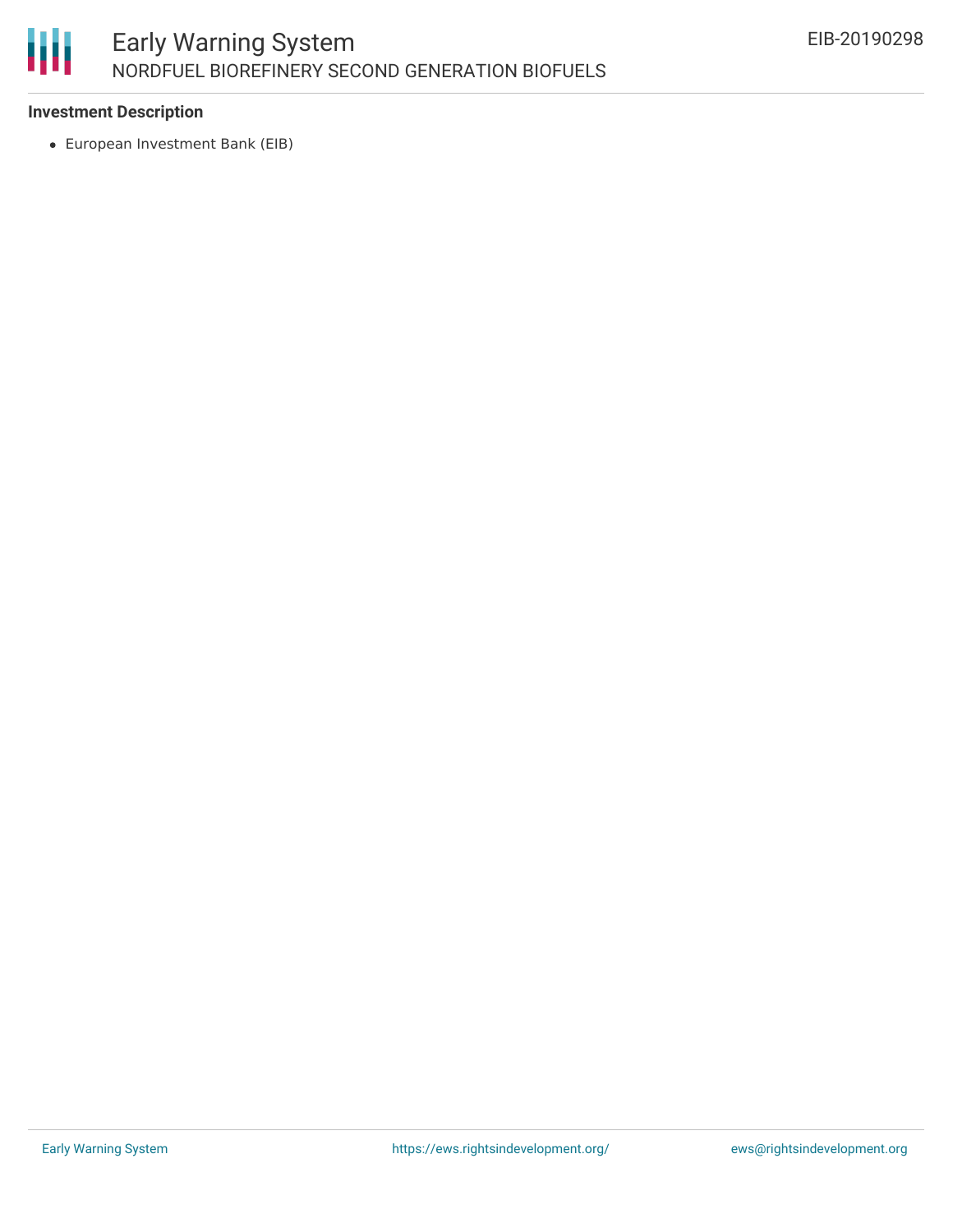

#### **Investment Description**

European Investment Bank (EIB)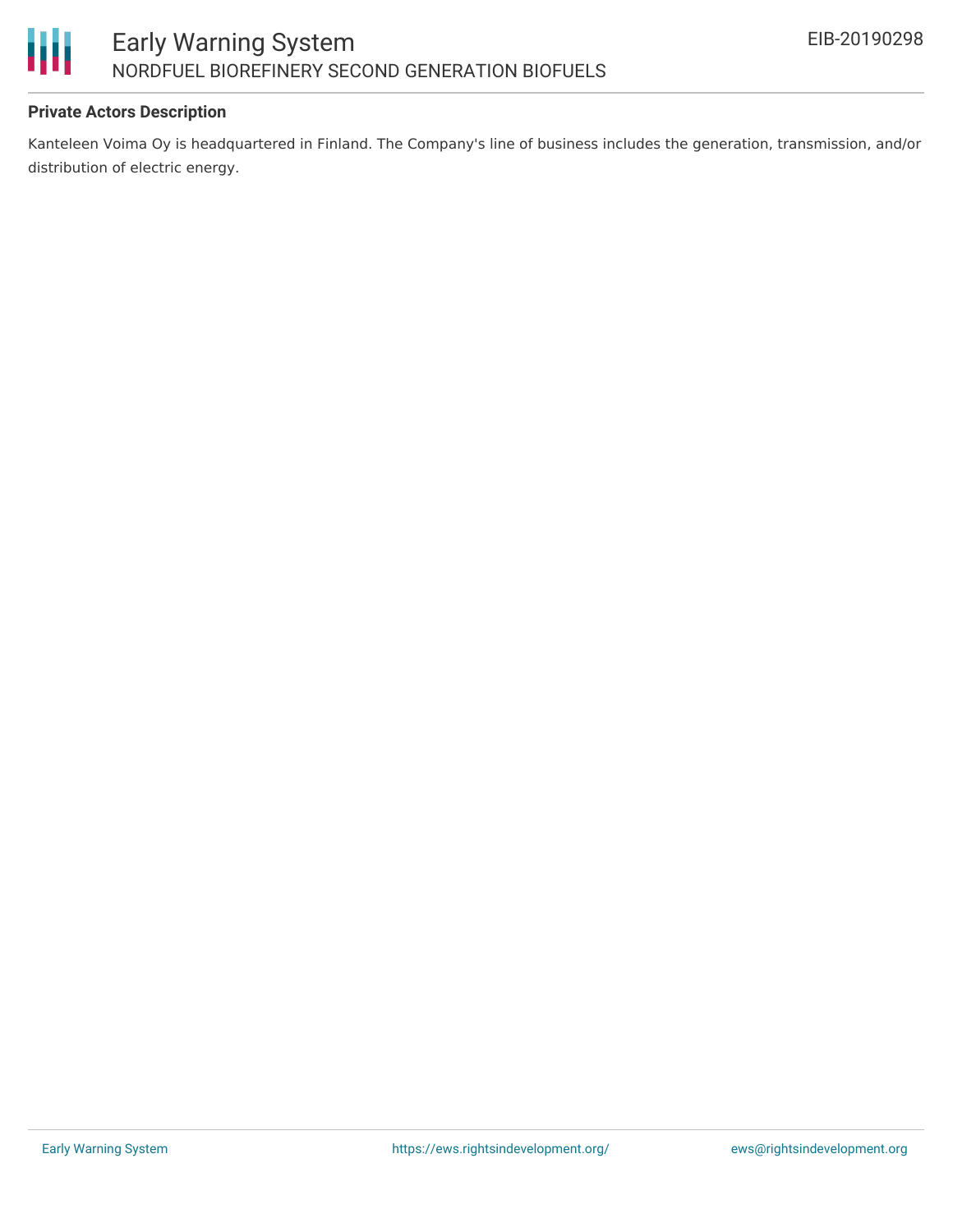

#### **Private Actors Description**

Kanteleen Voima Oy is headquartered in Finland. The Company's line of business includes the generation, transmission, and/or distribution of electric energy.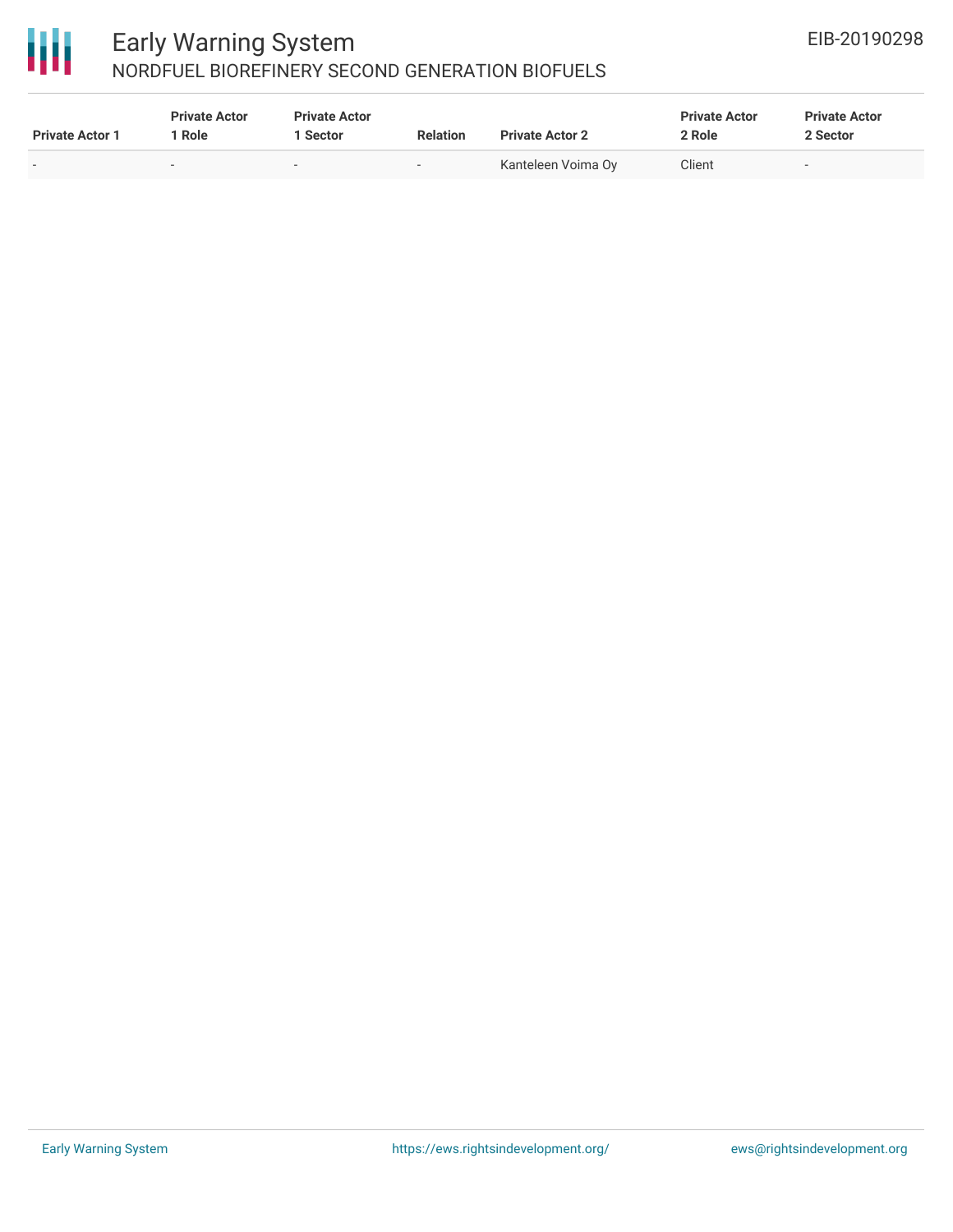

# 冊

### Early Warning System NORDFUEL BIOREFINERY SECOND GENERATION BIOFUELS

| <b>Private Actor 1</b>   | <b>Private Actor</b><br><sup>1</sup> Role | <b>Private Actor</b><br>Sector | <b>Relation</b> | <b>Private Actor 2</b> | <b>Private Actor</b><br>2 Role | <b>Private Actor</b><br>2 Sector |
|--------------------------|-------------------------------------------|--------------------------------|-----------------|------------------------|--------------------------------|----------------------------------|
| $\overline{\phantom{0}}$ |                                           | $\sim$                         | -               | Kanteleen Voima Oy     | Client                         | -                                |